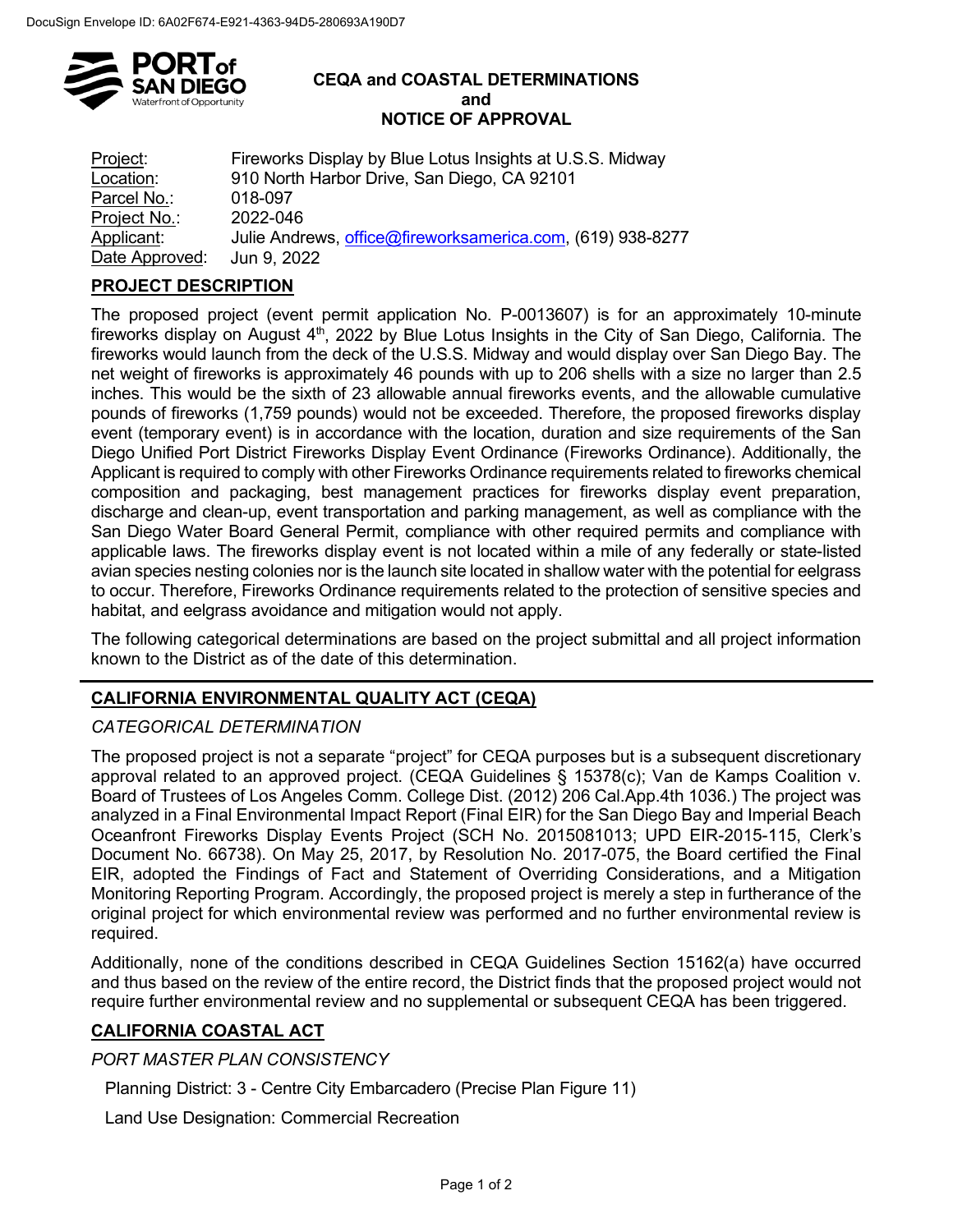

#### **CEQA and COASTAL DETERMINATIONS and NOTICE OF APPROVAL**

Project: Fireworks Display by Blue Lotus Insights at U.S.S. Midway Location: 910 North Harbor Drive, San Diego, CA 92101 Parcel No.: 018-097 <u>Project No.</u>: 2022-046<br><u>Applicant</u>: Julie Andr Julie Andrews, [office@fireworksamerica.com,](mailto:office@fireworksamerica.com) (619) 938-8277 Date Approved: Jun 9, 2022

# **PROJECT DESCRIPTION**

The proposed project (event permit application No. P-0013607) is for an approximately 10-minute fireworks display on August  $4<sup>th</sup>$ , 2022 by Blue Lotus Insights in the City of San Diego, California. The fireworks would launch from the deck of the U.S.S. Midway and would display over San Diego Bay. The net weight of fireworks is approximately 46 pounds with up to 206 shells with a size no larger than 2.5 inches. This would be the sixth of 23 allowable annual fireworks events, and the allowable cumulative pounds of fireworks (1,759 pounds) would not be exceeded. Therefore, the proposed fireworks display event (temporary event) is in accordance with the location, duration and size requirements of the San Diego Unified Port District Fireworks Display Event Ordinance (Fireworks Ordinance). Additionally, the Applicant is required to comply with other Fireworks Ordinance requirements related to fireworks chemical composition and packaging, best management practices for fireworks display event preparation, discharge and clean-up, event transportation and parking management, as well as compliance with the San Diego Water Board General Permit, compliance with other required permits and compliance with applicable laws. The fireworks display event is not located within a mile of any federally or state-listed avian species nesting colonies nor is the launch site located in shallow water with the potential for eelgrass to occur. Therefore, Fireworks Ordinance requirements related to the protection of sensitive species and habitat, and eelgrass avoidance and mitigation would not apply.

The following categorical determinations are based on the project submittal and all project information known to the District as of the date of this determination.

## **CALIFORNIA ENVIRONMENTAL QUALITY ACT (CEQA)**

## *CATEGORICAL DETERMINATION*

The proposed project is not a separate "project" for CEQA purposes but is a subsequent discretionary approval related to an approved project. (CEQA Guidelines § 15378(c); Van de Kamps Coalition v. Board of Trustees of Los Angeles Comm. College Dist. (2012) 206 Cal.App.4th 1036.) The project was analyzed in a Final Environmental Impact Report (Final EIR) for the San Diego Bay and Imperial Beach Oceanfront Fireworks Display Events Project (SCH No. 2015081013; UPD EIR-2015-115, Clerk's Document No. 66738). On May 25, 2017, by Resolution No. 2017-075, the Board certified the Final EIR, adopted the Findings of Fact and Statement of Overriding Considerations, and a Mitigation Monitoring Reporting Program. Accordingly, the proposed project is merely a step in furtherance of the original project for which environmental review was performed and no further environmental review is required.

Additionally, none of the conditions described in CEQA Guidelines Section 15162(a) have occurred and thus based on the review of the entire record, the District finds that the proposed project would not require further environmental review and no supplemental or subsequent CEQA has been triggered.

## **CALIFORNIA COASTAL ACT**

*PORT MASTER PLAN CONSISTENCY*

Planning District: 3 - Centre City Embarcadero (Precise Plan Figure 11)

Land Use Designation: Commercial Recreation